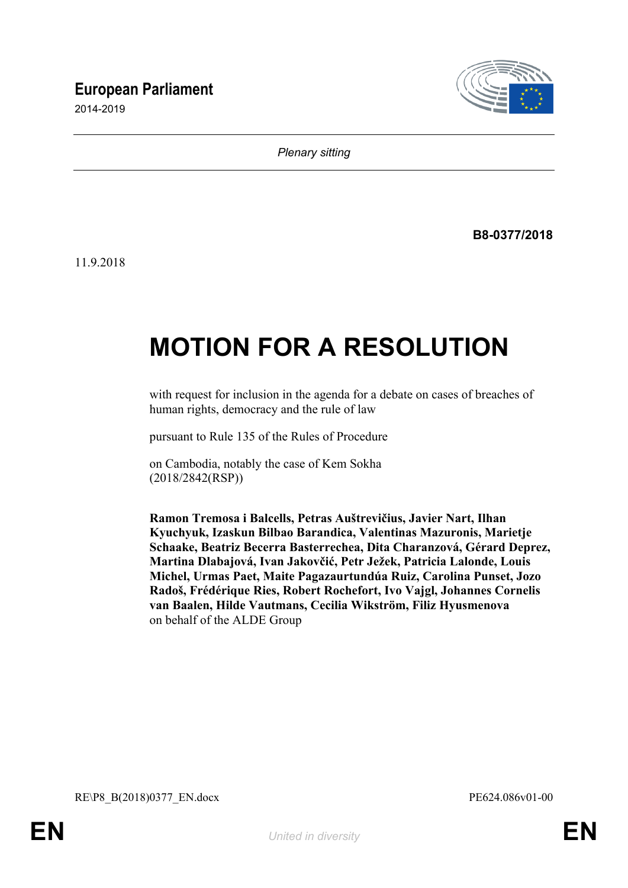## **European Parliament**

2014-2019



*Plenary sitting*

**B8-0377/2018**

11.9.2018

# **MOTION FOR A RESOLUTION**

with request for inclusion in the agenda for a debate on cases of breaches of human rights, democracy and the rule of law

pursuant to Rule 135 of the Rules of Procedure

on Cambodia, notably the case of Kem Sokha (2018/2842(RSP))

**Ramon Tremosa i Balcells, Petras Auštrevičius, Javier Nart, Ilhan Kyuchyuk, Izaskun Bilbao Barandica, Valentinas Mazuronis, Marietje Schaake, Beatriz Becerra Basterrechea, Dita Charanzová, Gérard Deprez, Martina Dlabajová, Ivan Jakovčić, Petr Ježek, Patricia Lalonde, Louis Michel, Urmas Paet, Maite Pagazaurtundúa Ruiz, Carolina Punset, Jozo Radoš, Frédérique Ries, Robert Rochefort, Ivo Vajgl, Johannes Cornelis van Baalen, Hilde Vautmans, Cecilia Wikström, Filiz Hyusmenova** on behalf of the ALDE Group

<span id="page-0-1"></span><span id="page-0-0"></span>RE\P8\_B(2018)0377\_EN.docx PE624.086v01-00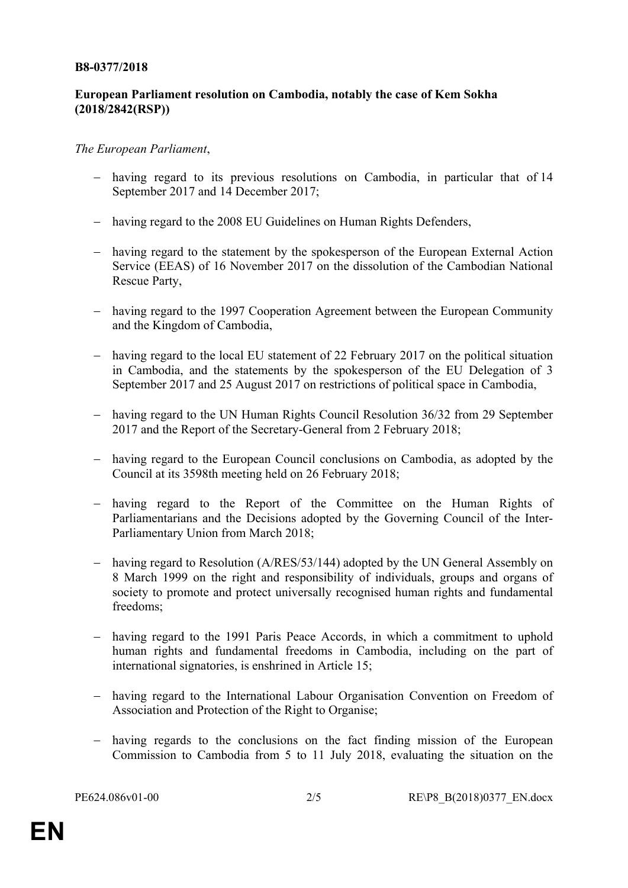#### **B8-0377/2018**

#### **European Parliament resolution on Cambodia, notably the case of Kem Sokha (2018/2842(RSP))**

#### *The European Parliament*,

- having regard to its previous resolutions on Cambodia, in particular that of 14 September 2017 and 14 December 2017;
- having regard to the 2008 EU Guidelines on Human Rights Defenders,
- having regard to the statement by the spokesperson of the European External Action Service (EEAS) of 16 November 2017 on the dissolution of the Cambodian National Rescue Party,
- having regard to the 1997 Cooperation Agreement between the European Community and the Kingdom of Cambodia,
- having regard to the local EU statement of 22 February 2017 on the political situation in Cambodia, and the statements by the spokesperson of the EU Delegation of 3 September 2017 and 25 August 2017 on restrictions of political space in Cambodia,
- having regard to the UN Human Rights Council Resolution 36/32 from 29 September 2017 and the Report of the Secretary-General from 2 February 2018;
- having regard to the European Council conclusions on Cambodia, as adopted by the Council at its 3598th meeting held on 26 February 2018;
- having regard to the Report of the Committee on the Human Rights of Parliamentarians and the Decisions adopted by the Governing Council of the Inter-Parliamentary Union from March 2018;
- having regard to Resolution (A/RES/53/144) adopted by the UN General Assembly on 8 March 1999 on the right and responsibility of individuals, groups and organs of society to promote and protect universally recognised human rights and fundamental freedoms;
- having regard to the 1991 Paris Peace Accords, in which a commitment to uphold human rights and fundamental freedoms in Cambodia, including on the part of international signatories, is enshrined in Article 15;
- having regard to the International Labour Organisation Convention on Freedom of Association and Protection of the Right to Organise;
- having regards to the conclusions on the fact finding mission of the European Commission to Cambodia from 5 to 11 July 2018, evaluating the situation on the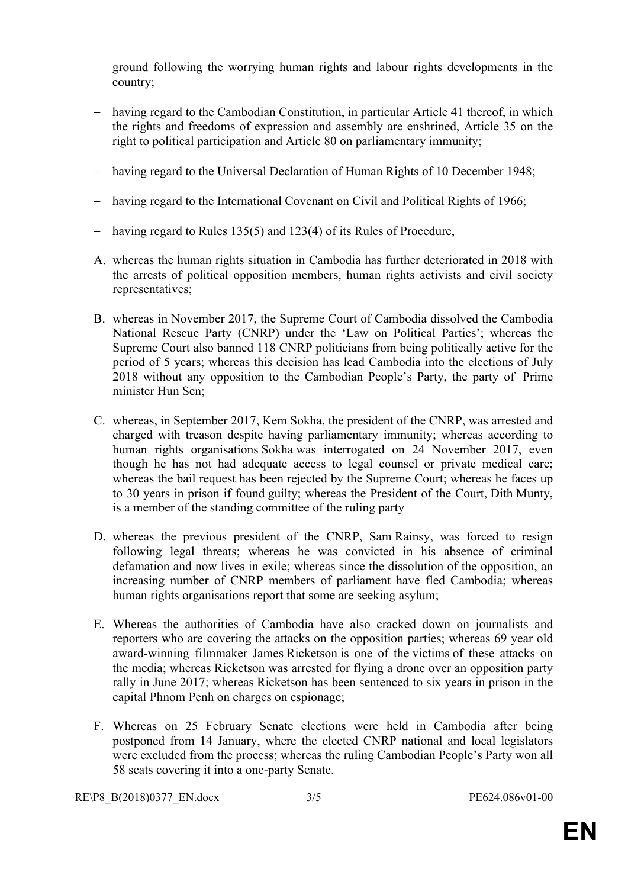ground following the worrying human rights and labour rights developments in the country;

- having regard to the Cambodian Constitution, in particular Article 41 thereof, in which the rights and freedoms of expression and assembly are enshrined, Article 35 on the right to political participation and Article 80 on parliamentary immunity;
- having regard to the Universal Declaration of Human Rights of 10 December 1948;
- having regard to the International Covenant on Civil and Political Rights of 1966;
- having regard to Rules 135(5) and 123(4) of its Rules of Procedure,
- A. whereas the human rights situation in Cambodia has further deteriorated in 2018 with the arrests of political opposition members, human rights activists and civil society representatives;
- B. whereas in November 2017, the Supreme Court of Cambodia dissolved the Cambodia National Rescue Party (CNRP) under the 'Law on Political Parties'; whereas the Supreme Court also banned 118 CNRP politicians from being politically active for the period of 5 years; whereas this decision has lead Cambodia into the elections of July 2018 without any opposition to the Cambodian People's Party, the party of Prime minister Hun Sen;
- C. whereas, in September 2017, Kem Sokha, the president of the CNRP, was arrested and charged with treason despite having parliamentary immunity; whereas according to human rights organisations Sokha was interrogated on 24 November 2017, even though he has not had adequate access to legal counsel or private medical care; whereas the bail request has been rejected by the Supreme Court; whereas he faces up to 30 years in prison if found guilty; whereas the President of the Court, Dith Munty, is a member of the standing committee of the ruling party
- D. whereas the previous president of the CNRP, Sam Rainsy, was forced to resign following legal threats; whereas he was convicted in his absence of criminal defamation and now lives in exile; whereas since the dissolution of the opposition, an increasing number of CNRP members of parliament have fled Cambodia; whereas human rights organisations report that some are seeking asylum;
- E. Whereas the authorities of Cambodia have also cracked down on journalists and reporters who are covering the attacks on the opposition parties; whereas 69 year old award-winning filmmaker James Ricketson is one of the victims of these attacks on the media; whereas Ricketson was arrested for flying a drone over an opposition party rally in June 2017; whereas Ricketson has been sentenced to six years in prison in the capital Phnom Penh on charges on espionage;
- F. Whereas on 25 February Senate elections were held in Cambodia after being postponed from 14 January, where the elected CNRP national and local legislators were excluded from the process; whereas the ruling Cambodian People's Party won all 58 seats covering it into a one-party Senate.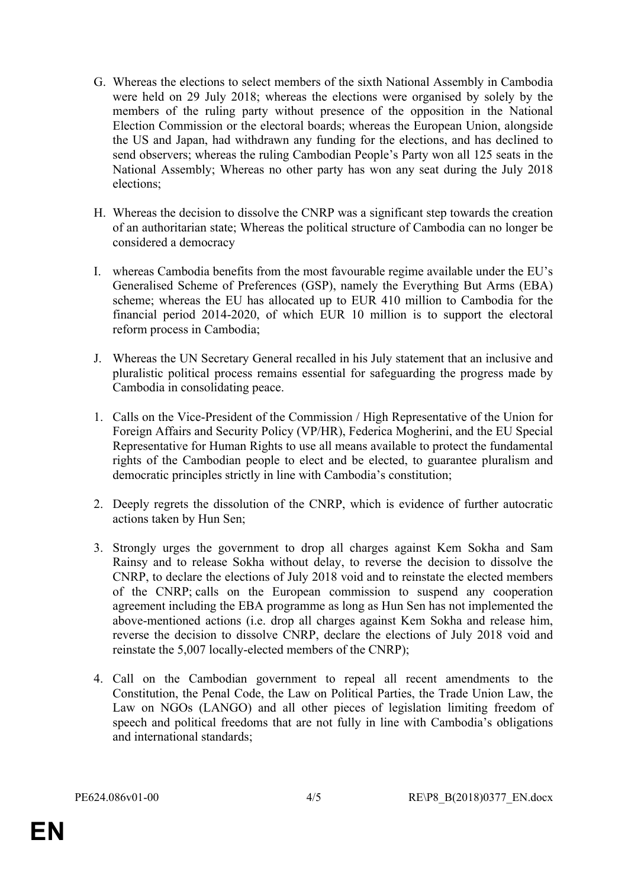- G. Whereas the elections to select members of the sixth National Assembly in Cambodia were held on 29 July 2018; whereas the elections were organised by solely by the members of the ruling party without presence of the opposition in the National Election Commission or the electoral boards; whereas the European Union, alongside the US and Japan, had withdrawn any funding for the elections, and has declined to send observers; whereas the ruling Cambodian People's Party won all 125 seats in the National Assembly; Whereas no other party has won any seat during the July 2018 elections;
- H. Whereas the decision to dissolve the CNRP was a significant step towards the creation of an authoritarian state; Whereas the political structure of Cambodia can no longer be considered a democracy
- I. whereas Cambodia benefits from the most favourable regime available under the EU's Generalised Scheme of Preferences (GSP), namely the Everything But Arms (EBA) scheme; whereas the EU has allocated up to EUR 410 million to Cambodia for the financial period 2014-2020, of which EUR 10 million is to support the electoral reform process in Cambodia;
- J. Whereas the UN Secretary General recalled in his July statement that an inclusive and pluralistic political process remains essential for safeguarding the progress made by Cambodia in consolidating peace.
- 1. Calls on the Vice-President of the Commission / High Representative of the Union for Foreign Affairs and Security Policy (VP/HR), Federica Mogherini, and the EU Special Representative for Human Rights to use all means available to protect the fundamental rights of the Cambodian people to elect and be elected, to guarantee pluralism and democratic principles strictly in line with Cambodia's constitution;
- 2. Deeply regrets the dissolution of the CNRP, which is evidence of further autocratic actions taken by Hun Sen;
- 3. Strongly urges the government to drop all charges against Kem Sokha and Sam Rainsy and to release Sokha without delay, to reverse the decision to dissolve the CNRP, to declare the elections of July 2018 void and to reinstate the elected members of the CNRP; calls on the European commission to suspend any cooperation agreement including the EBA programme as long as Hun Sen has not implemented the above-mentioned actions (i.e. drop all charges against Kem Sokha and release him, reverse the decision to dissolve CNRP, declare the elections of July 2018 void and reinstate the 5,007 locally-elected members of the CNRP);
- 4. Call on the Cambodian government to repeal all recent amendments to the Constitution, the Penal Code, the Law on Political Parties, the Trade Union Law, the Law on NGOs (LANGO) and all other pieces of legislation limiting freedom of speech and political freedoms that are not fully in line with Cambodia's obligations and international standards;